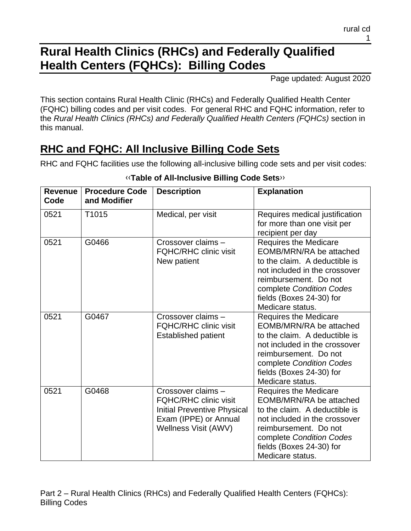# **Rural Health Clinics (RHCs) and Federally Qualified Health Centers (FQHCs): Billing Codes**

Page updated: August 2020

This section contains Rural Health Clinic (RHCs) and Federally Qualified Health Center (FQHC) billing codes and per visit codes. For general RHC and FQHC information, refer to the *Rural Health Clinics (RHCs) and Federally Qualified Health Centers (FQHCs)* section in this manual.

# **RHC and FQHC: All Inclusive Billing Code Sets**

RHC and FQHC facilities use the following all-inclusive billing code sets and per visit codes:

| <b>Revenue</b><br>Code | <b>Procedure Code</b><br>and Modifier | <b>Description</b>                                                                                                                 | <b>Explanation</b>                                                                                                                                                                                                             |
|------------------------|---------------------------------------|------------------------------------------------------------------------------------------------------------------------------------|--------------------------------------------------------------------------------------------------------------------------------------------------------------------------------------------------------------------------------|
| 0521                   | T1015                                 | Medical, per visit                                                                                                                 | Requires medical justification<br>for more than one visit per<br>recipient per day                                                                                                                                             |
| 0521                   | G0466                                 | Crossover claims -<br><b>FQHC/RHC clinic visit</b><br>New patient                                                                  | <b>Requires the Medicare</b><br>EOMB/MRN/RA be attached<br>to the claim. A deductible is<br>not included in the crossover<br>reimbursement. Do not<br>complete Condition Codes<br>fields (Boxes 24-30) for<br>Medicare status. |
| 0521                   | G0467                                 | Crossover claims -<br><b>FQHC/RHC clinic visit</b><br><b>Established patient</b>                                                   | <b>Requires the Medicare</b><br>EOMB/MRN/RA be attached<br>to the claim. A deductible is<br>not included in the crossover<br>reimbursement. Do not<br>complete Condition Codes<br>fields (Boxes 24-30) for<br>Medicare status. |
| 0521                   | G0468                                 | Crossover claims -<br><b>FQHC/RHC clinic visit</b><br>Initial Preventive Physical<br>Exam (IPPE) or Annual<br>Wellness Visit (AWV) | <b>Requires the Medicare</b><br>EOMB/MRN/RA be attached<br>to the claim. A deductible is<br>not included in the crossover<br>reimbursement. Do not<br>complete Condition Codes<br>fields (Boxes 24-30) for<br>Medicare status. |

### [‹‹](#page-15-0)**Table of All-Inclusive Billing Code Sets**[››](#page-15-1)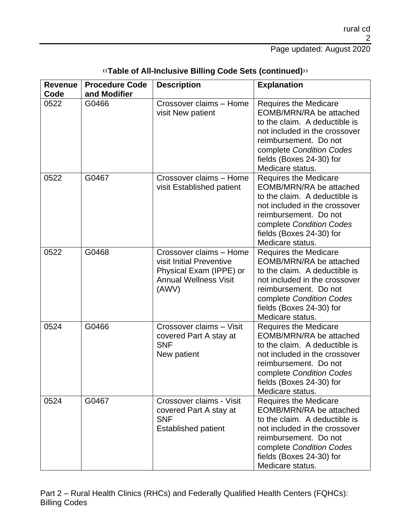| <b>Revenue</b><br>Code | <b>Procedure Code</b><br>and Modifier | <b>Description</b>                                                                                                      | <b>Explanation</b>                                                                                                                                                                                                             |
|------------------------|---------------------------------------|-------------------------------------------------------------------------------------------------------------------------|--------------------------------------------------------------------------------------------------------------------------------------------------------------------------------------------------------------------------------|
| 0522                   | G0466                                 | Crossover claims - Home<br>visit New patient                                                                            | <b>Requires the Medicare</b><br>EOMB/MRN/RA be attached<br>to the claim. A deductible is<br>not included in the crossover<br>reimbursement. Do not<br>complete Condition Codes<br>fields (Boxes 24-30) for<br>Medicare status. |
| 0522                   | G0467                                 | Crossover claims - Home<br>visit Established patient                                                                    | <b>Requires the Medicare</b><br>EOMB/MRN/RA be attached<br>to the claim. A deductible is<br>not included in the crossover<br>reimbursement. Do not<br>complete Condition Codes<br>fields (Boxes 24-30) for<br>Medicare status. |
| 0522                   | G0468                                 | Crossover claims - Home<br>visit Initial Preventive<br>Physical Exam (IPPE) or<br><b>Annual Wellness Visit</b><br>(AWV) | <b>Requires the Medicare</b><br>EOMB/MRN/RA be attached<br>to the claim. A deductible is<br>not included in the crossover<br>reimbursement. Do not<br>complete Condition Codes<br>fields (Boxes 24-30) for<br>Medicare status. |
| 0524                   | G0466                                 | Crossover claims - Visit<br>covered Part A stay at<br><b>SNF</b><br>New patient                                         | <b>Requires the Medicare</b><br>EOMB/MRN/RA be attached<br>to the claim. A deductible is<br>not included in the crossover<br>reimbursement. Do not<br>complete Condition Codes<br>fields (Boxes 24-30) for<br>Medicare status. |
| 0524                   | G0467                                 | Crossover claims - Visit<br>covered Part A stay at<br><b>SNF</b><br><b>Established patient</b>                          | <b>Requires the Medicare</b><br>EOMB/MRN/RA be attached<br>to the claim. A deductible is<br>not included in the crossover<br>reimbursement. Do not<br>complete Condition Codes<br>fields (Boxes 24-30) for<br>Medicare status. |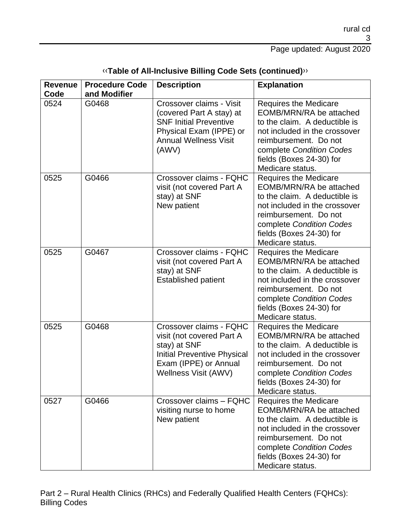Page updated: August 2020

| <b>Revenue</b><br>Code | <b>Procedure Code</b><br>and Modifier | <b>Description</b>                                                                                                                                          | <b>Explanation</b>                                                                                                                                                                                                             |
|------------------------|---------------------------------------|-------------------------------------------------------------------------------------------------------------------------------------------------------------|--------------------------------------------------------------------------------------------------------------------------------------------------------------------------------------------------------------------------------|
| 0524                   | G0468                                 | Crossover claims - Visit<br>(covered Part A stay) at<br><b>SNF Initial Preventive</b><br>Physical Exam (IPPE) or<br><b>Annual Wellness Visit</b><br>(AWV)   | <b>Requires the Medicare</b><br>EOMB/MRN/RA be attached<br>to the claim. A deductible is<br>not included in the crossover<br>reimbursement. Do not<br>complete Condition Codes<br>fields (Boxes 24-30) for<br>Medicare status. |
| 0525                   | G0466                                 | Crossover claims - FQHC<br>visit (not covered Part A<br>stay) at SNF<br>New patient                                                                         | <b>Requires the Medicare</b><br>EOMB/MRN/RA be attached<br>to the claim. A deductible is<br>not included in the crossover<br>reimbursement. Do not<br>complete Condition Codes<br>fields (Boxes 24-30) for<br>Medicare status. |
| 0525                   | G0467                                 | Crossover claims - FQHC<br>visit (not covered Part A<br>stay) at SNF<br><b>Established patient</b>                                                          | <b>Requires the Medicare</b><br>EOMB/MRN/RA be attached<br>to the claim. A deductible is<br>not included in the crossover<br>reimbursement. Do not<br>complete Condition Codes<br>fields (Boxes 24-30) for<br>Medicare status. |
| 0525                   | G0468                                 | Crossover claims - FQHC<br>visit (not covered Part A<br>stay) at SNF<br><b>Initial Preventive Physical</b><br>Exam (IPPE) or Annual<br>Wellness Visit (AWV) | <b>Requires the Medicare</b><br>EOMB/MRN/RA be attached<br>to the claim. A deductible is<br>not included in the crossover<br>reimbursement. Do not<br>complete Condition Codes<br>fields (Boxes 24-30) for<br>Medicare status. |
| 0527                   | G0466                                 | Crossover claims - FQHC<br>visiting nurse to home<br>New patient                                                                                            | <b>Requires the Medicare</b><br>EOMB/MRN/RA be attached<br>to the claim. A deductible is<br>not included in the crossover<br>reimbursement. Do not<br>complete Condition Codes<br>fields (Boxes 24-30) for<br>Medicare status. |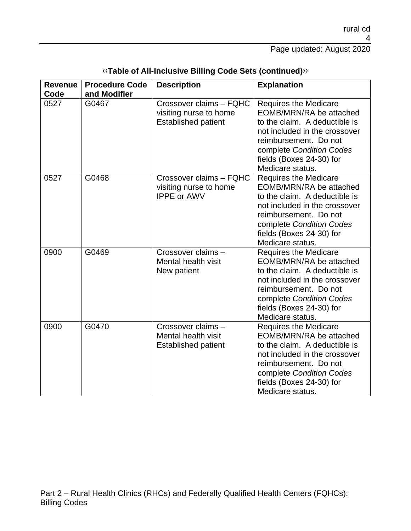Page updated: August 2020

| <b>Revenue</b><br>Code | <b>Procedure Code</b><br>and Modifier | <b>Description</b>                                                              | <b>Explanation</b>                                                                                                                                                                                                             |
|------------------------|---------------------------------------|---------------------------------------------------------------------------------|--------------------------------------------------------------------------------------------------------------------------------------------------------------------------------------------------------------------------------|
| 0527                   | G0467                                 | Crossover claims - FQHC<br>visiting nurse to home<br><b>Established patient</b> | <b>Requires the Medicare</b><br>EOMB/MRN/RA be attached<br>to the claim. A deductible is<br>not included in the crossover<br>reimbursement. Do not<br>complete Condition Codes<br>fields (Boxes 24-30) for<br>Medicare status. |
| 0527                   | G0468                                 | Crossover claims - FQHC<br>visiting nurse to home<br><b>IPPE or AWV</b>         | <b>Requires the Medicare</b><br>EOMB/MRN/RA be attached<br>to the claim. A deductible is<br>not included in the crossover<br>reimbursement. Do not<br>complete Condition Codes<br>fields (Boxes 24-30) for<br>Medicare status. |
| 0900                   | G0469                                 | Crossover claims -<br>Mental health visit<br>New patient                        | <b>Requires the Medicare</b><br>EOMB/MRN/RA be attached<br>to the claim. A deductible is<br>not included in the crossover<br>reimbursement. Do not<br>complete Condition Codes<br>fields (Boxes 24-30) for<br>Medicare status. |
| 0900                   | G0470                                 | Crossover claims -<br>Mental health visit<br><b>Established patient</b>         | <b>Requires the Medicare</b><br>EOMB/MRN/RA be attached<br>to the claim. A deductible is<br>not included in the crossover<br>reimbursement. Do not<br>complete Condition Codes<br>fields (Boxes 24-30) for<br>Medicare status. |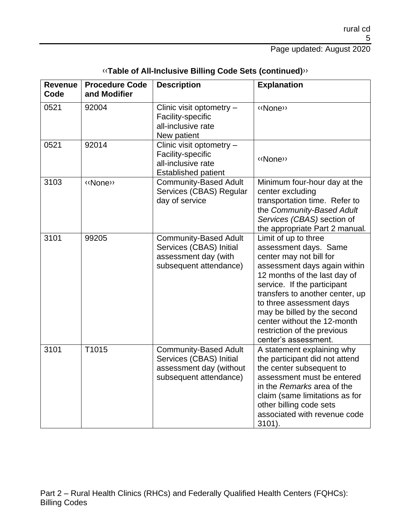## Page updated: August 2020

| <b>Revenue</b><br>Code | <b>Procedure Code</b><br>and Modifier | <b>Description</b>                                                                                           | <b>Explanation</b>                                                                                                                                                                                                                                                                                                                                          |
|------------------------|---------------------------------------|--------------------------------------------------------------------------------------------------------------|-------------------------------------------------------------------------------------------------------------------------------------------------------------------------------------------------------------------------------------------------------------------------------------------------------------------------------------------------------------|
| 0521                   | 92004                                 | Clinic visit optometry -<br>Facility-specific<br>all-inclusive rate<br>New patient                           | «None»                                                                                                                                                                                                                                                                                                                                                      |
| 0521                   | 92014                                 | Clinic visit optometry -<br>Facility-specific<br>all-inclusive rate<br><b>Established patient</b>            | «None»                                                                                                                                                                                                                                                                                                                                                      |
| 3103                   | «None»                                | <b>Community-Based Adult</b><br>Services (CBAS) Regular<br>day of service                                    | Minimum four-hour day at the<br>center excluding<br>transportation time. Refer to<br>the Community-Based Adult<br>Services (CBAS) section of<br>the appropriate Part 2 manual.                                                                                                                                                                              |
| 3101                   | 99205                                 | <b>Community-Based Adult</b><br>Services (CBAS) Initial<br>assessment day (with<br>subsequent attendance)    | Limit of up to three<br>assessment days. Same<br>center may not bill for<br>assessment days again within<br>12 months of the last day of<br>service. If the participant<br>transfers to another center, up<br>to three assessment days<br>may be billed by the second<br>center without the 12-month<br>restriction of the previous<br>center's assessment. |
| 3101                   | T1015                                 | <b>Community-Based Adult</b><br>Services (CBAS) Initial<br>assessment day (without<br>subsequent attendance) | A statement explaining why<br>the participant did not attend<br>the center subsequent to<br>assessment must be entered<br>in the Remarks area of the<br>claim (same limitations as for<br>other billing code sets<br>associated with revenue code<br>3101).                                                                                                 |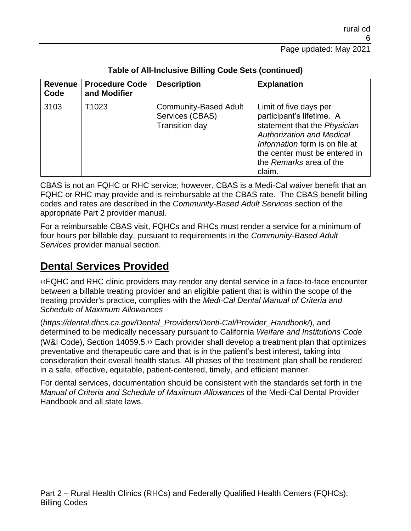| <b>Revenue</b><br>Code | <b>Procedure Code</b><br>and Modifier | <b>Description</b>                                                       | <b>Explanation</b>                                                                                                                                                                                                              |
|------------------------|---------------------------------------|--------------------------------------------------------------------------|---------------------------------------------------------------------------------------------------------------------------------------------------------------------------------------------------------------------------------|
| 3103                   | T <sub>1023</sub>                     | <b>Community-Based Adult</b><br>Services (CBAS)<br><b>Transition day</b> | Limit of five days per<br>participant's lifetime. A<br>statement that the Physician<br><b>Authorization and Medical</b><br>Information form is on file at<br>the center must be entered in<br>the Remarks area of the<br>claim. |

### **Table of All-Inclusive Billing Code Sets (continued)**

CBAS is not an FQHC or RHC service; however, CBAS is a Medi-Cal waiver benefit that an FQHC or RHC may provide and is reimbursable at the CBAS rate. The CBAS benefit billing codes and rates are described in the *Community-Based Adult Services* section of the appropriate Part 2 provider manual.

For a reimbursable CBAS visit, FQHCs and RHCs must render a service for a minimum of four hours per billable day, pursuant to requirements in the *Community-Based Adult Services* provider manual section.

## **Dental Services Provided**

[‹‹F](#page-15-0)QHC and RHC clinic providers may render any dental service in a face-to-face encounter between a billable treating provider and an eligible patient that is within the scope of the treating provider's practice, complies with the *Medi-Cal Dental Manual of Criteria and Schedule of Maximum Allowances*

(*https://dental.dhcs.ca.gov/Dental\_Providers/Denti-Cal/Provider\_Handbook/*), and determined to be medically necessary pursuant to California *Welfare and Institutions Code* (W&I Code), Section 14059.5[.››](#page-15-1) Each provider shall develop a treatment plan that optimizes preventative and therapeutic care and that is in the patient's best interest, taking into consideration their overall health status. All phases of the treatment plan shall be rendered in a safe, effective, equitable, patient-centered, timely, and efficient manner.

For dental services, documentation should be consistent with the standards set forth in the *Manual of Criteria and Schedule of Maximum Allowances* of the Medi-Cal Dental Provider Handbook and all state laws.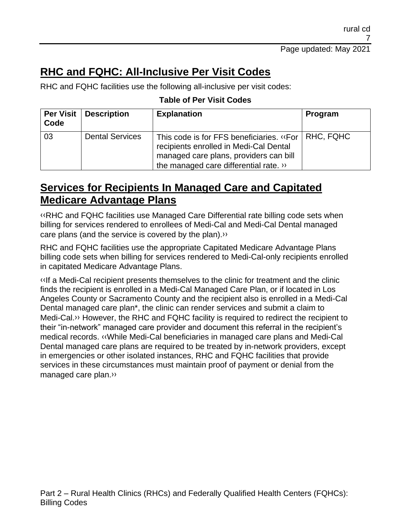# **RHC and FQHC: All-Inclusive Per Visit Codes**

RHC and FQHC facilities use the following all-inclusive per visit codes:

### **Table of Per Visit Codes**

| Code | <b>Per Visit   Description</b> | <b>Explanation</b>                                                                                                                                                      | Program   |
|------|--------------------------------|-------------------------------------------------------------------------------------------------------------------------------------------------------------------------|-----------|
| 03   | <b>Dental Services</b>         | This code is for FFS beneficiaries. «For  <br>recipients enrolled in Medi-Cal Dental<br>managed care plans, providers can bill<br>the managed care differential rate. » | RHC, FQHC |

## **Services for Recipients In Managed Care and Capitated Medicare Advantage Plans**

[‹‹R](#page-15-0)HC and FQHC facilities use Managed Care Differential rate billing code sets when billing for services rendered to enrollees of Medi-Cal and Medi-Cal Dental managed care plans (and the service is covered by the plan)[.››](#page-15-1)

RHC and FQHC facilities use the appropriate Capitated Medicare Advantage Plans billing code sets when billing for services rendered to Medi-Cal-only recipients enrolled in capitated Medicare Advantage Plans.

[‹‹I](#page-15-0)f a Medi-Cal recipient presents themselves to the clinic for treatment and the clinic finds the recipient is enrolled in a Medi-Cal Managed Care Plan, or if located in Los Angeles County or Sacramento County and the recipient also is enrolled in a Medi-Cal Dental managed care pla[n\\*,](#page-15-2) the clinic can render services and submit a claim to Medi-Cal[.››](#page-15-1) However, the RHC and FQHC facility is required to redirect the recipient to their "in-network" managed care provider and document this referral in the recipient's medical records. [‹‹W](#page-15-0)hile Medi-Cal beneficiaries in managed care plans and Medi-Cal Dental managed care plans are required to be treated by in-network providers, except in emergencies or other isolated instances, RHC and FQHC facilities that provide services in these circumstances must maintain proof of payment or denial from the managed care plan[.››](#page-15-1)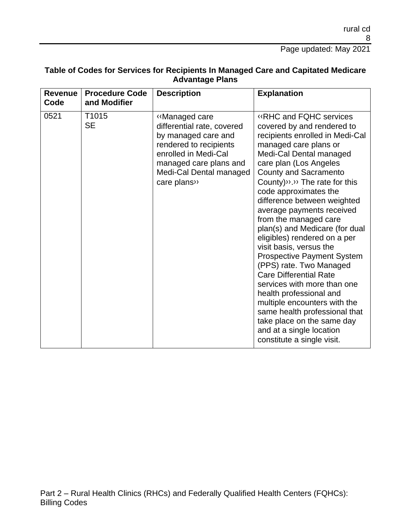Page updated: May 2021

| Table of Codes for Services for Recipients In Managed Care and Capitated Medicare |
|-----------------------------------------------------------------------------------|
| <b>Advantage Plans</b>                                                            |

| <b>Revenue</b><br>Code | <b>Procedure Code</b><br>and Modifier | <b>Description</b>                                                                                                                                                                        | <b>Explanation</b>                                                                                                                                                                                                                                                                                                                                                                                                                                                                                                                                                                                                                                                                                                                                                                             |
|------------------------|---------------------------------------|-------------------------------------------------------------------------------------------------------------------------------------------------------------------------------------------|------------------------------------------------------------------------------------------------------------------------------------------------------------------------------------------------------------------------------------------------------------------------------------------------------------------------------------------------------------------------------------------------------------------------------------------------------------------------------------------------------------------------------------------------------------------------------------------------------------------------------------------------------------------------------------------------------------------------------------------------------------------------------------------------|
| 0521                   | T <sub>1015</sub><br><b>SE</b>        | «Managed care<br>differential rate, covered<br>by managed care and<br>rendered to recipients<br>enrolled in Medi-Cal<br>managed care plans and<br>Medi-Cal Dental managed<br>care plans>> | <b>«RHC and FQHC services</b><br>covered by and rendered to<br>recipients enrolled in Medi-Cal<br>managed care plans or<br>Medi-Cal Dental managed<br>care plan (Los Angeles<br><b>County and Sacramento</b><br>County) $\lambda$ . $\lambda$ The rate for this<br>code approximates the<br>difference between weighted<br>average payments received<br>from the managed care<br>plan(s) and Medicare (for dual<br>eligibles) rendered on a per<br>visit basis, versus the<br><b>Prospective Payment System</b><br>(PPS) rate. Two Managed<br><b>Care Differential Rate</b><br>services with more than one<br>health professional and<br>multiple encounters with the<br>same health professional that<br>take place on the same day<br>and at a single location<br>constitute a single visit. |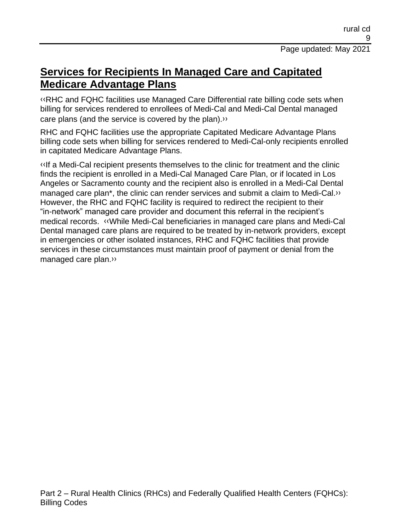## **Services for Recipients In Managed Care and Capitated Medicare Advantage Plans**

[‹‹R](#page-15-0)HC and FQHC facilities use Managed Care Differential rate billing code sets when billing for services rendered to enrollees of Medi-Cal and Medi-Cal Dental managed care plans (and the service is covered by the plan)[.››](#page-15-1)

RHC and FQHC facilities use the appropriate Capitated Medicare Advantage Plans billing code sets when billing for services rendered to Medi-Cal-only recipients enrolled in capitated Medicare Advantage Plans.

[‹‹I](#page-15-0)f a Medi-Cal recipient presents themselves to the clinic for treatment and the clinic finds the recipient is enrolled in a Medi-Cal Managed Care Plan, or if located in Los Angeles or Sacramento county and the recipient also is enrolled in a Medi-Cal Dental managed care pla[n\\*,](#page-15-2) the clinic can render services and submit a claim to Medi-Cal[.››](#page-15-1)  However, the RHC and FQHC facility is required to redirect the recipient to their "in-network" managed care provider and document this referral in the recipient's medical records. [‹‹W](#page-15-0)hile Medi-Cal beneficiaries in managed care plans and Medi-Cal Dental managed care plans are required to be treated by in-network providers, except in emergencies or other isolated instances, RHC and FQHC facilities that provide services in these circumstances must maintain proof of payment or denial from the managed care plan[.››](#page-15-1)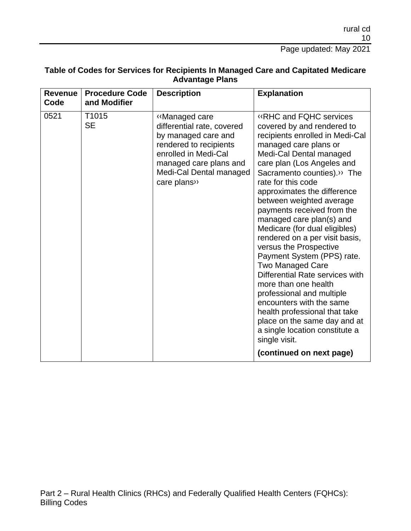Page updated: May 2021

| <b>Revenue</b><br>Code | <b>Procedure Code</b><br>and Modifier | <b>Description</b>                                                                                                                                                                        | <b>Explanation</b>                                                                                                                                                                                                                                                                                                                                                                                                                                                                                                                                                                                                                                                                                                                                                                               |
|------------------------|---------------------------------------|-------------------------------------------------------------------------------------------------------------------------------------------------------------------------------------------|--------------------------------------------------------------------------------------------------------------------------------------------------------------------------------------------------------------------------------------------------------------------------------------------------------------------------------------------------------------------------------------------------------------------------------------------------------------------------------------------------------------------------------------------------------------------------------------------------------------------------------------------------------------------------------------------------------------------------------------------------------------------------------------------------|
| 0521                   | T <sub>1015</sub><br><b>SE</b>        | «Managed care<br>differential rate, covered<br>by managed care and<br>rendered to recipients<br>enrolled in Medi-Cal<br>managed care plans and<br>Medi-Cal Dental managed<br>care plans>> | <b>«RHC and FQHC services</b><br>covered by and rendered to<br>recipients enrolled in Medi-Cal<br>managed care plans or<br>Medi-Cal Dental managed<br>care plan (Los Angeles and<br>Sacramento counties). <sup>33</sup> The<br>rate for this code<br>approximates the difference<br>between weighted average<br>payments received from the<br>managed care plan(s) and<br>Medicare (for dual eligibles)<br>rendered on a per visit basis,<br>versus the Prospective<br>Payment System (PPS) rate.<br><b>Two Managed Care</b><br>Differential Rate services with<br>more than one health<br>professional and multiple<br>encounters with the same<br>health professional that take<br>place on the same day and at<br>a single location constitute a<br>single visit.<br>(continued on next page) |

### **Table of Codes for Services for Recipients In Managed Care and Capitated Medicare Advantage Plans**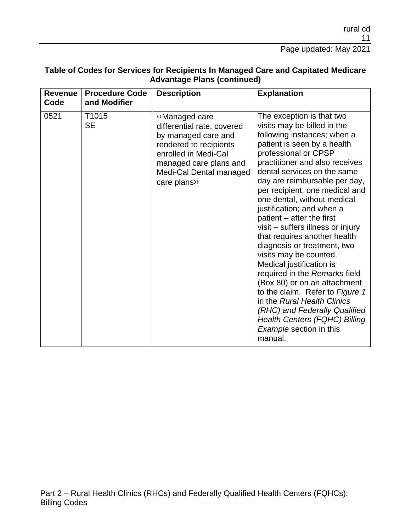Page updated: May 2021

| <b>Revenue</b><br>Code | <b>Procedure Code</b><br>and Modifier | <b>Description</b>                                                                                                                                                                        | <b>Explanation</b>                                                                                                                                                                                                                                                                                                                                                                                                                                                                                                                                                                                                                                                                                                                                                                             |
|------------------------|---------------------------------------|-------------------------------------------------------------------------------------------------------------------------------------------------------------------------------------------|------------------------------------------------------------------------------------------------------------------------------------------------------------------------------------------------------------------------------------------------------------------------------------------------------------------------------------------------------------------------------------------------------------------------------------------------------------------------------------------------------------------------------------------------------------------------------------------------------------------------------------------------------------------------------------------------------------------------------------------------------------------------------------------------|
| 0521                   | T1015<br><b>SE</b>                    | «Managed care<br>differential rate, covered<br>by managed care and<br>rendered to recipients<br>enrolled in Medi-Cal<br>managed care plans and<br>Medi-Cal Dental managed<br>care plans>> | The exception is that two<br>visits may be billed in the<br>following instances; when a<br>patient is seen by a health<br>professional or CPSP<br>practitioner and also receives<br>dental services on the same<br>day are reimbursable per day,<br>per recipient, one medical and<br>one dental, without medical<br>justification; and when a<br>patient – after the first<br>visit - suffers illness or injury<br>that requires another health<br>diagnosis or treatment, two<br>visits may be counted.<br>Medical justification is<br>required in the Remarks field<br>(Box 80) or on an attachment<br>to the claim. Refer to Figure 1<br>in the Rural Health Clinics<br>(RHC) and Federally Qualified<br><b>Health Centers (FQHC) Billing</b><br><b>Example section in this</b><br>manual. |

### **Table of Codes for Services for Recipients In Managed Care and Capitated Medicare Advantage Plans (continued)**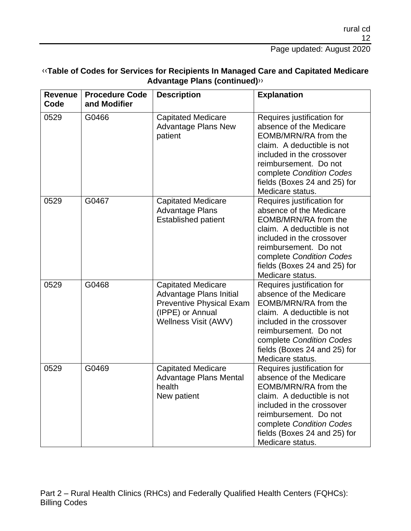| <b>Revenue</b><br>Code | <b>Procedure Code</b><br>and Modifier | <b>Description</b>                                                                                                                  | <b>Explanation</b>                                                                                                                                                                                                                                |
|------------------------|---------------------------------------|-------------------------------------------------------------------------------------------------------------------------------------|---------------------------------------------------------------------------------------------------------------------------------------------------------------------------------------------------------------------------------------------------|
| 0529                   | G0466                                 | <b>Capitated Medicare</b><br><b>Advantage Plans New</b><br>patient                                                                  | Requires justification for<br>absence of the Medicare<br>EOMB/MRN/RA from the<br>claim. A deductible is not<br>included in the crossover<br>reimbursement. Do not<br>complete Condition Codes<br>fields (Boxes 24 and 25) for<br>Medicare status. |
| 0529                   | G0467                                 | <b>Capitated Medicare</b><br><b>Advantage Plans</b><br><b>Established patient</b>                                                   | Requires justification for<br>absence of the Medicare<br>EOMB/MRN/RA from the<br>claim. A deductible is not<br>included in the crossover<br>reimbursement. Do not<br>complete Condition Codes<br>fields (Boxes 24 and 25) for<br>Medicare status. |
| 0529                   | G0468                                 | <b>Capitated Medicare</b><br>Advantage Plans Initial<br><b>Preventive Physical Exam</b><br>(IPPE) or Annual<br>Wellness Visit (AWV) | Requires justification for<br>absence of the Medicare<br>EOMB/MRN/RA from the<br>claim. A deductible is not<br>included in the crossover<br>reimbursement. Do not<br>complete Condition Codes<br>fields (Boxes 24 and 25) for<br>Medicare status. |
| 0529                   | G0469                                 | <b>Capitated Medicare</b><br><b>Advantage Plans Mental</b><br>health<br>New patient                                                 | Requires justification for<br>absence of the Medicare<br>EOMB/MRN/RA from the<br>claim. A deductible is not<br>included in the crossover<br>reimbursement. Do not<br>complete Condition Codes<br>fields (Boxes 24 and 25) for<br>Medicare status. |

### [‹‹](#page-15-0)**Table of Codes for Services for Recipients In Managed Care and Capitated Medicare Advantage Plans (continued)**[››](#page-15-1)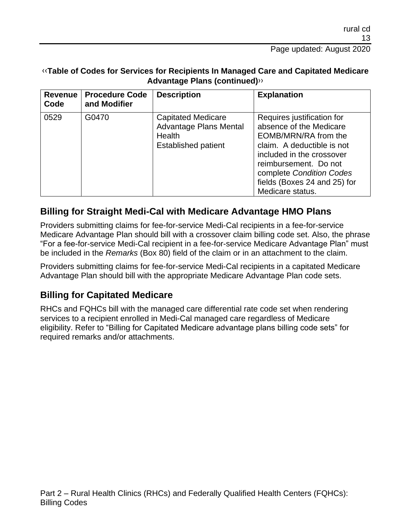### [‹‹](#page-15-0)**Table of Codes for Services for Recipients In Managed Care and Capitated Medicare Advantage Plans (continued)**[››](#page-15-1)

| <b>Revenue</b><br>Code | <b>Procedure Code</b><br>and Modifier | <b>Description</b>                                                                                 | <b>Explanation</b>                                                                                                                                                                                                                                |
|------------------------|---------------------------------------|----------------------------------------------------------------------------------------------------|---------------------------------------------------------------------------------------------------------------------------------------------------------------------------------------------------------------------------------------------------|
| 0529                   | G0470                                 | <b>Capitated Medicare</b><br><b>Advantage Plans Mental</b><br>Health<br><b>Established patient</b> | Requires justification for<br>absence of the Medicare<br>EOMB/MRN/RA from the<br>claim. A deductible is not<br>included in the crossover<br>reimbursement. Do not<br>complete Condition Codes<br>fields (Boxes 24 and 25) for<br>Medicare status. |

## **Billing for Straight Medi-Cal with Medicare Advantage HMO Plans**

Providers submitting claims for fee-for-service Medi-Cal recipients in a fee-for-service Medicare Advantage Plan should bill with a crossover claim billing code set. Also, the phrase "For a fee-for-service Medi-Cal recipient in a fee-for-service Medicare Advantage Plan" must be included in the *Remarks* (Box 80) field of the claim or in an attachment to the claim.

Providers submitting claims for fee-for-service Medi-Cal recipients in a capitated Medicare Advantage Plan should bill with the appropriate Medicare Advantage Plan code sets.

### **Billing for Capitated Medicare**

RHCs and FQHCs bill with the managed care differential rate code set when rendering services to a recipient enrolled in Medi-Cal managed care regardless of Medicare eligibility. Refer to "Billing for Capitated Medicare advantage plans billing code sets" for required remarks and/or attachments.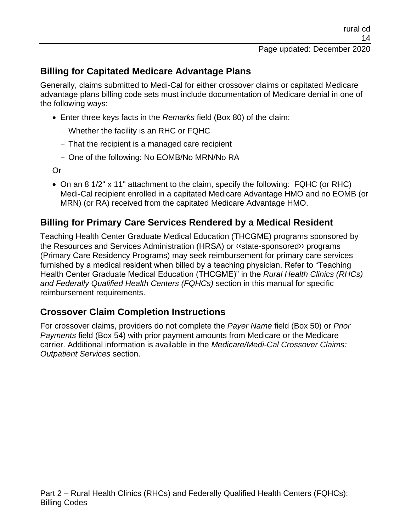## **Billing for Capitated Medicare Advantage Plans**

Generally, claims submitted to Medi-Cal for either crossover claims or capitated Medicare advantage plans billing code sets must include documentation of Medicare denial in one of the following ways:

- Enter three keys facts in the *Remarks* field (Box 80) of the claim:
	- Whether the facility is an RHC or FQHC
	- That the recipient is a managed care recipient
	- One of the following: No EOMB/No MRN/No RA

Or

• On an 8 1/2" x 11" attachment to the claim, specify the following: FQHC (or RHC) Medi-Cal recipient enrolled in a capitated Medicare Advantage HMO and no EOMB (or MRN) (or RA) received from the capitated Medicare Advantage HMO.

### **Billing for Primary Care Services Rendered by a Medical Resident**

Teaching Health Center Graduate Medical Education (THCGME) programs sponsored by the Resources and Services Administration (HRSA) or [‹‹s](#page-15-0)tate-sponsore[d››](#page-15-1) programs (Primary Care Residency Programs) may seek reimbursement for primary care services furnished by a medical resident when billed by a teaching physician. Refer to "Teaching Health Center Graduate Medical Education (THCGME)" in the *Rural Health Clinics (RHCs) and Federally Qualified Health Centers (FQHCs)* section in this manual for specific reimbursement requirements.

### **Crossover Claim Completion Instructions**

For crossover claims, providers do not complete the *Payer Name* field (Box 50) or *Prior Payments* field (Box 54) with prior payment amounts from Medicare or the Medicare carrier. Additional information is available in the *Medicare/Medi-Cal Crossover Claims: Outpatient Services* section.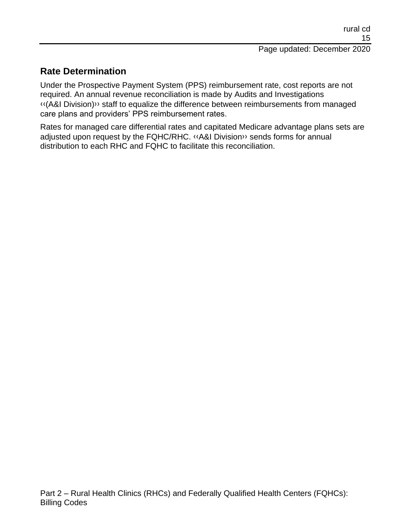## **Rate Determination**

Under the Prospective Payment System (PPS) reimbursement rate, cost reports are not required. An annual revenue reconciliation is made by Audits and Investigations [‹‹\(](#page-15-0)A&I Division[\)››](#page-15-1) staff to equalize the difference between reimbursements from managed care plans and providers' PPS reimbursement rates.

Rates for managed care differential rates and capitated Medicare advantage plans sets are adjusted upon request by the FQHC/RHC. [‹‹A](#page-15-0)&I Divisio[n››](#page-15-1) sends forms for annual distribution to each RHC and FQHC to facilitate this reconciliation.